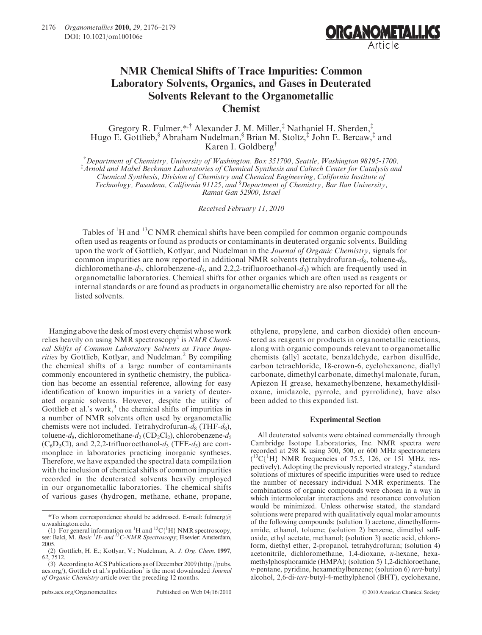

## NMR Chemical Shifts of Trace Impurities: Common Laboratory Solvents, Organics, and Gases in Deuterated Solvents Relevant to the Organometallic Chemist

Gregory R. Fulmer,\*,† Alexander J. M. Miller,‡ Nathaniel H. Sherden,‡ Hugo E. Gottlieb,§ Abraham Nudelman,§ Brian M. Stoltz,‡ John E. Bercaw,‡ and Karen I. Goldberg†

† Department of Chemistry, University of Washington, Box 351700, Seattle, Washington 98195-1700,<br>‡Arnold and Mabel Beckman Laboratories of Chemical Synthesis and Calteeb Center for Catalysis an Arnold and Mabel Beckman Laboratories of Chemical Synthesis and Caltech Center for Catalysis and Chemical Synthesis, Division of Chemistry and Chemical Engineering, California Institute of Technology, Pasadena, California 91125, and <sup>§</sup>Department of Chemistry, Bar Ilan University, Ramat Gan 52900, Israel

Received February 11, 2010

Tables of <sup>1</sup>H and <sup>13</sup>C NMR chemical shifts have been compiled for common organic compounds often used as reagents or found as products or contaminants in deuterated organic solvents. Building upon the work of Gottlieb, Kotlyar, and Nudelman in the Journal of Organic Chemistry, signals for common impurities are now reported in additional NMR solvents (tetrahydrofuran- $d_8$ , toluene- $d_8$ , dichloromethane- $d_2$ , chlorobenzene- $d_5$ , and 2,2,2-trifluoroethanol- $d_3$ ) which are frequently used in organometallic laboratories. Chemical shifts for other organics which are often used as reagents or internal standards or are found as products in organometallic chemistry are also reported for all the listed solvents.

Hanging above the desk of most every chemist whose work relies heavily on using NMR spectroscopy<sup>1</sup> is *NMR Chemi*cal Shifts of Common Laboratory Solvents as Trace Impurities by Gottlieb, Kotlyar, and Nudelman. $<sup>2</sup>$  By compiling</sup> the chemical shifts of a large number of contaminants commonly encountered in synthetic chemistry, the publication has become an essential reference, allowing for easy identification of known impurities in a variety of deuterated organic solvents. However, despite the utility of Gottlieb et al.'s work, $3$  the chemical shifts of impurities in a number of NMR solvents often used by organometallic chemists were not included. Tetrahydrofuran- $d_8$  (THF- $d_8$ ), toluene-d<sub>8</sub>, dichloromethane-d<sub>2</sub> (CD<sub>2</sub>Cl<sub>2</sub>), chlorobenzene-d<sub>5</sub>  $(C_6D_5C)$ , and 2,2,2-trifluoroethanol- $d_3$  (TFE- $d_3$ ) are commonplace in laboratories practicing inorganic syntheses. Therefore, we have expanded the spectral data compilation with the inclusion of chemical shifts of common impurities recorded in the deuterated solvents heavily employed in our organometallic laboratories. The chemical shifts of various gases (hydrogen, methane, ethane, propane,

(2) Gottlieb, H. E.; Kotlyar, V.; Nudelman, A. J. Org. Chem. 1997,  $62, 7512.$ 

ethylene, propylene, and carbon dioxide) often encountered as reagents or products in organometallic reactions, along with organic compounds relevant to organometallic chemists (allyl acetate, benzaldehyde, carbon disulfide, carbon tetrachloride, 18-crown-6, cyclohexanone, diallyl carbonate, dimethyl carbonate, dimethyl malonate, furan, Apiezon H grease, hexamethylbenzene, hexamethyldisiloxane, imidazole, pyrrole, and pyrrolidine), have also been added to this expanded list.

## Experimental Section

All deuterated solvents were obtained commercially through Cambridge Isotope Laboratories, Inc. NMR spectra were recorded at 298 K using 300, 500, or 600 MHz spectrometers  $(^{13}C(^{1}H)$  NMR frequencies of 75.5, 126, or 151 MHz, respectively). Adopting the previously reported strategy, $\frac{2}{3}$  standard solutions of mixtures of specific impurities were used to reduce the number of necessary individual NMR experiments. The combinations of organic compounds were chosen in a way in which intermolecular interactions and resonance convolution would be minimized. Unless otherwise stated, the standard solutions were prepared with qualitatively equal molar amounts of the following compounds: (solution 1) acetone, dimethylformamide, ethanol, toluene; (solution 2) benzene, dimethyl sulfoxide, ethyl acetate, methanol; (solution 3) acetic acid, chloroform, diethyl ether, 2-propanol, tetrahydrofuran; (solution 4) acetonitrile, dichloromethane, 1,4-dioxane, n-hexane, hexamethylphosphoramide (HMPA); (solution 5) 1,2-dichloroethane, n-pentane, pyridine, hexamethylbenzene; (solution 6) tert-butyl alcohol, 2,6-di-tert-butyl-4-methylphenol (BHT), cyclohexane,

<sup>\*</sup>To whom correspondence should be addressed. E-mail: fulmerg@ u.washington.edu.

<sup>(1)</sup> For general information on <sup>1</sup>H and <sup>13</sup>C{<sup>1</sup>H} NMR spectroscopy, see: Balci, M. *Basic <sup>1</sup>H- and <sup>13</sup>C-NMR Spectroscopy*; Elsevier: Amsterdam, 2005.

<sup>(3)</sup> According to ACS Publications as of December 2009 (http://pubs.  $\arccos.$ org/), Gottlieb et al.'s publication<sup>2</sup> is the most downloaded *Journal* of Organic Chemistry article over the preceding 12 months.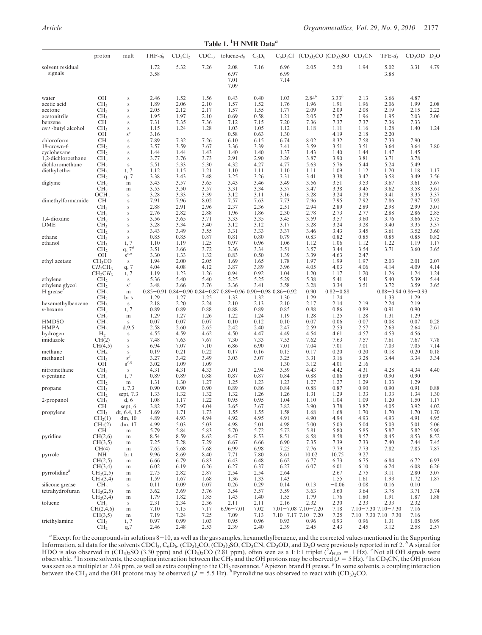Table 1.  ${}^{1}$ H NMR Data<sup>*a*</sup>

|                               | proton                                   | mult                        | $THF-d_8$    | $CD_2Cl_2$   | CDCl <sub>3</sub> | toluene- $d_8$                                                                      | $C_6D_6$     | $C_6D_5Cl$           | $(CD_3)$ <sub>2</sub> CO $(CD_3)$ <sub>2</sub> SO $CD_3CN$ |               |              | $TFE-d_3$                   | $CD_3OD$ $D_2O$ |              |
|-------------------------------|------------------------------------------|-----------------------------|--------------|--------------|-------------------|-------------------------------------------------------------------------------------|--------------|----------------------|------------------------------------------------------------|---------------|--------------|-----------------------------|-----------------|--------------|
| solvent residual<br>signals   |                                          |                             | 1.72<br>3.58 | 5.32         | 7.26              | 2.08<br>6.97<br>7.01<br>7.09                                                        | 7.16         | 6.96<br>6.99<br>7.14 | 2.05                                                       | 2.50          | 1.94         | 5.02<br>3.88                | 3.31            | 4.79         |
| water                         | OН                                       | $\mathbf S$                 | 2.46         | 1.52         | 1.56              | 0.43                                                                                | 0.40         | 1.03                 | $2.84^{b}$                                                 | $3.33^{b}$    | 2.13         | 3.66                        | 4.87            |              |
| acetic acid                   | CH <sub>3</sub>                          | $\mathbf S$                 | 1.89         | 2.06         | 2.10              | 1.57                                                                                | 1.52         | 1.76                 | 1.96                                                       | 1.91          | 1.96         | 2.06                        | 1.99            | 2.08         |
| acetone                       | CH <sub>3</sub>                          | $\mathbf S$                 | 2.05         | 2.12         | 2.17              | 1.57                                                                                | 1.55         | 1.77                 | 2.09                                                       | 2.09          | 2.08         | 2.19                        | 2.15            | 2.22         |
| acetonitrile                  | CH <sub>3</sub>                          | $\mathbf S$                 | 1.95         | 1.97         | 2.10              | 0.69<br>7.12                                                                        | 0.58         | 1.21                 | 2.05                                                       | 2.07          | 1.96         | 1.95                        | 2.03            | 2.06         |
| benzene<br>tert-butyl alcohol | CН<br>CH <sub>3</sub>                    | S<br>$\mathbf S$            | 7.31<br>1.15 | 7.35<br>1.24 | 7.36<br>1.28      | 1.03                                                                                | 7.15<br>1.05 | 7.20<br>1.12         | 7.36<br>1.18                                               | 7.37<br>1.11  | 7.37<br>1.16 | 7.36<br>1.28                | 7.33<br>1.40    | 1.24         |
|                               | OН                                       | $s^c$                       | 3.16         |              |                   | 0.58                                                                                | 0.63         | 1.30                 |                                                            | 4.19          | 2.18         | 2.20                        |                 |              |
| chloroform                    | СH                                       | $\mathbf S$                 | 7.89         | 7.32         | 7.26              | 6.10                                                                                | 6.15         | 6.74                 | 8.02                                                       | 8.32          | 7.58         | 7.33                        | 7.90            |              |
| 18-crown-6                    | CH <sub>2</sub>                          | S                           | 3.57         | 3.59         | 3.67              | 3.36                                                                                | 3.39         | 3.41                 | 3.59                                                       | 3.51          | 3.51         | 3.64                        | 3.64            | 3.80         |
| cyclohexane                   | CH <sub>2</sub>                          | S                           | 1.44         | 1.44         | 1.43              | 1.40                                                                                | 1.40         | 1.37                 | 1.43                                                       | 1.40          | 1.44         | 1.47                        | 1.45            |              |
| 1,2-dichloroethane            | CH <sub>2</sub>                          | $\mathbf S$                 | 3.77         | 3.76         | 3.73              | 2.91                                                                                | 2.90         | 3.26                 | 3.87                                                       | 3.90          | 3.81         | 3.71                        | 3.78            |              |
| dichloromethane               | CH <sub>2</sub>                          | $\mathbf S$                 | 5.51         | 5.33         | 5.30              | 4.32                                                                                | 4.27         | 4.77                 | 5.63                                                       | 5.76          | 5.44         | 5.24                        | 5.49            |              |
| diethyl ether                 | CH <sub>3</sub>                          | t, 7                        | 1.12         | 1.15         | 1.21              | 1.10                                                                                | 1.11         | 1.10                 | 1.11                                                       | 1.09          | 1.12         | 1.20                        | 1.18            | 1.17         |
|                               | CH <sub>2</sub>                          | q, 7                        | 3.38         | 3.43         | 3.48              | 3.25                                                                                | 3.26         | 3.31                 | 3.41                                                       | 3.38          | 3.42         | 3.58                        | 3.49            | 3.56         |
| diglyme                       | CH <sub>2</sub>                          | m                           | 3.43         | 3.57         | 3.65              | 3.43                                                                                | 3.46         | 3.49                 | 3.56                                                       | 3.51          | 3.53         | 3.67                        | 3.61            | 3.67         |
|                               | CH <sub>2</sub>                          | m                           | 3.53         | 3.50         | 3.57              | 3.31                                                                                | 3.34         | 3.37                 | 3.47                                                       | 3.38          | 3.45         | 3.62                        | 3.58            | 3.61         |
|                               | OCH <sub>3</sub>                         | $\mathbf S$                 | 3.28         | 3.33         | 3.39              | 3.12                                                                                | 3.11         | 3.16                 | 3.28                                                       | 3.24          | 3.29         | 3.41                        | 3.35            | 3.37         |
| dimethylformamide             | CН                                       | S                           | 7.91         | 7.96         | 8.02              | 7.57                                                                                | 7.63         | 7.73                 | 7.96                                                       | 7.95          | 7.92         | 7.86                        | 7.97            | 7.92         |
|                               | CH <sub>3</sub>                          | S                           | 2.88         | 2.91         | 2.96              | 2.37                                                                                | 2.36         | 2.51                 | 2.94                                                       | 2.89          | 2.89         | 2.98                        | 2.99            | 3.01         |
|                               | CH <sub>3</sub>                          | S                           | 2.76<br>3.56 | 2.82<br>3.65 | 2.88<br>3.71      | 1.96<br>3.33                                                                        | 1.86<br>3.35 | 2.30<br>3.45         | 2.78<br>3.59                                               | 2.73<br>3.57  | 2.77<br>3.60 | 2.88<br>3.76                | 2.86<br>3.66    | 2.85<br>3.75 |
| 1,4-dioxane<br>DME            | CH <sub>2</sub><br>CH <sub>3</sub>       | S<br>$\mathbf S$            | 3.28         | 3.34         | 3.40              | 3.12                                                                                | 3.12         | 3.17                 | 3.28                                                       | 3.24          | 3.28         | 3.40                        | 3.35            | 3.37         |
|                               | CH <sub>2</sub>                          | $\mathbf S$                 | 3.43         | 3.49         | 3.55              | 3.31                                                                                | 3.33         | 3.37                 | 3.46                                                       | 3.43          | 3.45         | 3.61                        | 3.52            | 3.60         |
| ethane                        | CH <sub>3</sub>                          | $\mathbf S$                 | 0.85         | 0.85         | 0.87              | 0.81                                                                                | 0.80         | 0.79                 | 0.83                                                       | 0.82          | 0.85         | 0.85                        | 0.85            | 0.82         |
| ethanol                       | CH <sub>3</sub>                          | t, 7                        | 1.10         | 1.19         | 1.25              | 0.97                                                                                | 0.96         | 1.06                 | 1.12                                                       | 1.06          | 1.12         | 1.22                        | 1.19            | 1.17         |
|                               | CH <sub>2</sub>                          | q, $7^d$                    | 3.51         | 3.66         | 3.72              | 3.36                                                                                | 3.34         | 3.51                 | 3.57                                                       | 3.44          | 3.54         | 3.71                        | 3.60            | 3.65         |
|                               | OН                                       | $\mathbf{s}^{c,d}$          | 3.30         | 1.33         | 1.32              | 0.83                                                                                | 0.50         | 1.39                 | 3.39                                                       | 4.63          | 2.47         |                             |                 |              |
| ethyl acetate                 | CH <sub>3</sub> CO                       | $\mathbf S$                 | 1.94         | 2.00         | 2.05              | 1.69                                                                                | 1.65         | 1.78                 | 1.97                                                       | 1.99          | 1.97         | 2.03                        | 2.01            | 2.07         |
|                               | $CH_2CH_3$                               | q, 7                        | 4.04         | 4.08         | 4.12              | 3.87                                                                                | 3.89         | 3.96                 | 4.05                                                       | 4.03          | 4.06         | 4.14                        | 4.09            | 4.14         |
|                               | $CH_2CH_3$                               | t, 7                        | 1.19         | 1.23         | 1.26              | 0.94                                                                                | 0.92         | 1.04                 | 1.20                                                       | 1.17          | 1.20         | 1.26                        | 1.24            | 1.24         |
| ethylene                      | CH <sub>2</sub>                          | $\mathbf S$                 | 5.36         | 5.40         | 5.40              | 5.25                                                                                | 5.25         | 5.29                 | 5.38                                                       | 5.41          | 5.41         | 5.40                        | 5.39            | 5.44         |
| ethylene glycol               | CH <sub>2</sub>                          | $s^e$                       | 3.48         | 3.66         | 3.76              | 3.36                                                                                | 3.41         | 3.58                 | 3.28                                                       | 3.34          | 3.51         | 3.72                        | 3.59            | 3.65         |
| H grease                      | CH <sub>3</sub>                          | m                           |              |              |                   | $0.85 - 0.91$ $0.84 - 0.90$ $0.84 - 0.87$ $0.89 - 0.96$ $0.90 - 0.98$ $0.86 - 0.92$ |              |                      | 0.90                                                       | $0.82 - 0.88$ |              | $0.88 - 0.94$ $0.86 - 0.93$ |                 |              |
|                               | CH <sub>2</sub>                          | br s                        | 1.29         | 1.27         | 1.25              | 1.33                                                                                | 1.32         | 1.30                 | 1.29                                                       | 1.24          |              | 1.33                        | 1.29            |              |
| hexamethylbenzene             | CH <sub>3</sub>                          | ${\bf S}$                   | 2.18         | 2.20         | 2.24              | 2.10                                                                                | 2.13         | 2.10                 | 2.17                                                       | 2.14          | 2.19         | 2.24                        | 2.19            |              |
| <i>n</i> -hexane              | CH <sub>3</sub>                          | t, 7                        | 0.89<br>1.29 | 0.89<br>1.27 | 0.88              | 0.88<br>1.22                                                                        | 0.89<br>1.24 | 0.85<br>1.19         | 0.88                                                       | 0.86          | 0.89         | 0.91<br>1.31                | 0.90<br>1.29    |              |
| HMDSO                         | CH <sub>2</sub><br>CH <sub>3</sub>       | m<br>$\mathbf S$            | 0.07         | 0.07         | 1.26<br>0.07      | 0.10                                                                                | 0.12         | 0.10                 | 1.28<br>0.07                                               | 1.25<br>0.06  | 1.28<br>0.07 | 0.08                        | 0.07            | 0.28         |
| HMPA                          | CH <sub>3</sub>                          | d, 9.5                      | 2.58         | 2.60         | 2.65              | 2.42                                                                                | 2.40         | 2.47                 | 2.59                                                       | 2.53          | 2.57         | 2.63                        | 2.64            | 2.61         |
| hydrogen                      | H <sub>2</sub>                           | $\mathbf S$                 | 4.55         | 4.59         | 4.62              | 4.50                                                                                | 4.47         | 4.49                 | 4.54                                                       | 4.61          | 4.57         | 4.53                        | 4.56            |              |
| imidazole                     | CH(2)                                    | $\mathbf S$                 | 7.48         | 7.63         | 7.67              | 7.30                                                                                | 7.33         | 7.53                 | 7.62                                                       | 7.63          | 7.57         | 7.61                        | 7.67            | 7.78         |
|                               | CH(4,5)                                  | $\mathbf S$                 | 6.94         | 7.07         | 7.10              | 6.86                                                                                | 6.90         | 7.01                 | 7.04                                                       | 7.01          | 7.01         | 7.03                        | 7.05            | 7.14         |
| methane                       | CH <sub>4</sub>                          | $\mathbf S$                 | 0.19         | 0.21         | 0.22              | 0.17                                                                                | 0.16         | 0.15                 | 0.17                                                       | 0.20          | 0.20         | 0.18                        | 0.20            | 0.18         |
| methanol                      | CH <sub>3</sub>                          | $s^g$                       | 3.27         | 3.42         | 3.49              | 3.03                                                                                | 3.07         | 3.25                 | 3.31                                                       | 3.16          | 3.28         | 3.44                        | 3.34            | 3.34         |
|                               | OН                                       | $s^{c,g}$                   | 3.02         | 1.09         | 1.09              |                                                                                     |              | 1.30                 | 3.12                                                       | 4.01          | 2.16         |                             |                 |              |
| nitromethane                  | CH <sub>3</sub>                          | $\mathbf S$                 | 4.31         | 4.31         | 4.33              | 3.01                                                                                | 2.94         | 3.59                 | 4.43                                                       | 4.42          | 4.31         | 4.28                        | 4.34            | 4.40         |
| <i>n</i> -pentane             | CH <sub>3</sub>                          | t, 7                        | 0.89         | 0.89         | 0.88              | 0.87                                                                                | 0.87         | 0.84                 | 0.88                                                       | 0.86          | 0.89         | 0.90                        | 0.90            |              |
|                               | CH <sub>2</sub>                          | $\rm m$                     | 1.31         | 1.30         | 1.27              | 1.25                                                                                | 1.23         | 1.23                 | 1.27                                                       | 1.27          | 1.29         | 1.33                        | 1.29            |              |
| propane                       | CH <sub>3</sub>                          | t, 7.3                      | 0.90         | 0.90         | 0.90              | 0.89                                                                                | 0.86         | 0.84                 | 0.88                                                       | 0.87          | 0.90         | 0.90                        | 0.91            | 0.88         |
|                               | CH <sub>2</sub>                          | sept, $7.3$                 | 1.33         | 1.32         | 1.32              | 1.32                                                                                | 1.26         | 1.26                 | 1.31                                                       | 1.29          | 1.33         | 1.33                        | 1.34            | 1.30         |
| 2-propanol                    | CH <sub>3</sub><br>CН                    | d, 6                        | 1.08<br>3.82 | 1.17<br>3.97 | 1.22<br>4.04      | 0.95<br>3.65                                                                        | 0.95<br>3.67 | 1.04<br>3.82         | 1.10<br>3.90                                               | 1.04<br>3.78  | 1.09<br>3.87 | 1.20<br>4.05                | 1.50<br>3.92    | 1.17<br>4.02 |
| propylene                     | CH <sub>3</sub>                          | sept, 6<br>dt, 6.4, 1.5     | 1.69         | 1.71         | 1.73              | 1.55                                                                                | 1.55         | 1.58                 | 1.68                                                       | 1.68          | 1.70         | 1.70                        | 1.70            | 1.70         |
|                               | CH <sub>2</sub> (1)                      | dm, 10                      | 4.89         | 4.93         | 4.94              | 4.92                                                                                | 4.95         | 4.91                 | 4.90                                                       | 4.94          | 4.93         | 4.93                        | 4.91            | 4.95         |
|                               | CH <sub>2</sub> (2)                      | dm, 17                      | 4.99         | 5.03         | 5.03              | 4.98                                                                                | 5.01         | 4.98                 | 5.00                                                       | 5.03          | 5.04         | 5.03                        | 5.01            | 5.06         |
|                               | CH                                       | m                           | 5.79         | 5.84         | 5.83              | 5.70                                                                                | 5.72         | 5.72                 | 5.81                                                       | 5.80          | 5.85         | 5.87                        | 5.82            | 5.90         |
| pyridine                      | CH(2,6)                                  | $\, {\rm m}$                | 8.54         | 8.59         | 8.62              | 8.47                                                                                | 8.53         | 8.51                 | 8.58                                                       | 8.58          | 8.57         | 8.45                        | 8.53            | 8.52         |
|                               | CH(3,5)                                  | m                           | 7.25         | 7.28         | 7.29              | 6.67                                                                                | 6.66         | 6.90                 | 7.35                                                       | 7.39          | 7.33         | 7.40                        | 7.44            | 7.45         |
|                               | CH(4)                                    | m                           | 7.65         | 7.68         | 7.68              | 6.99                                                                                | 6.98         | 7.25                 | 7.76                                                       | 7.79          | 7.73         | 7.82                        | 7.85            | 7.87         |
| pyrrole                       | NH                                       | br t                        | 9.96         | 8.69         | 8.40              | 7.71                                                                                | 7.80         | 8.61                 | 10.02                                                      | 10.75         | 9.27         |                             |                 |              |
|                               | CH(2,5)                                  | m                           | 6.66         | 6.79         | 6.83              | 6.43                                                                                | 6.48         | 6.62                 | 6.77                                                       | 6.73          | 6.75         | 6.84                        | 6.72            | 6.93         |
|                               | CH(3,4)                                  | $\, {\rm m}$                | 6.02         | 6.19         | 6.26              | 6.27                                                                                | 6.37         | 6.27                 | 6.07                                                       | 6.01          | 6.10         | 6.24                        | 6.08            | 6.26         |
| pyrrolidine <sup>h</sup>      | CH <sub>2</sub> (2,5)                    | $\, {\rm m}$                | 2.75         | 2.82         | 2.87              | 2.54                                                                                | 2.54         | 2.64                 |                                                            | 2.67          | 2.75         | 3.11                        | 2.80            | 3.07         |
|                               | CH <sub>2</sub> (3,4)                    | m                           | 1.59         | 1.67         | 1.68              | 1.36                                                                                | 1.33         | 1.43                 |                                                            | 1.55          | 1.61         | 1.93                        | 1.72            | 1.87         |
| silicone grease               | CH <sub>3</sub>                          | $\mathbf S$                 | 0.11         | 0.09         | 0.07              | 0.26                                                                                | 0.29         | 0.14                 | 0.13                                                       | $-0.06$       | 0.08         | 0.16                        | 0.10            |              |
| tetrahydrofuran               | CH <sub>2</sub> (2,5)                    | m                           | 3.62         | 3.69         | 3.76              | 3.54                                                                                | 3.57         | 3.59                 | 3.63                                                       | 3.60          | 3.64         | 3.78                        | 3.71            | 3.74         |
| toluene                       | CH <sub>2</sub> (3,4)<br>CH <sub>3</sub> | m                           | 1.79<br>2.31 | 1.82<br>2.34 | 1.85<br>2.36      | 1.43<br>2.11                                                                        | 1.40<br>2.11 | 1.55<br>2.16         | 1.79<br>2.32                                               | 1.76<br>2.30  | 1.80<br>2.33 | 1.91<br>2.33                | 1.87<br>2.32    | 1.88         |
|                               | CH(2,4,6)                                | $\mathbf S$<br>$\, {\rm m}$ | 7.10         | 7.15         | 7.17              | $6.96 - 7.01$                                                                       | 7.02         |                      | $7.01 - 7.08$ $7.10 - 7.20$                                | 7.18          |              | $7.10 - 7.30$ $7.10 - 7.30$ | 7.16            |              |
|                               | CH(3,5)                                  | $\, {\rm m}$                | 7.19         | 7.24         | 7.25              | 7.09                                                                                | 7.13         |                      | $7.10 - 7.17$ $7.10 - 7.20$                                | 7.25          |              | $7.10 - 7.30$ $7.10 - 7.30$ | 7.16            |              |
| triethylamine                 | CH <sub>3</sub>                          | t, 7                        | 0.97         | 0.99         | 1.03              | 0.95                                                                                | 0.96         | 0.93                 | 0.96                                                       | 0.93          | 0.96         | 1.31                        | 1.05            | 0.99         |
|                               | CH <sub>2</sub>                          | q,7                         | 2.46         | 2.48         | 2.53              | 2.39                                                                                | 2.40         | 2.39                 | 2.45                                                       | 2.43          | 2.45         | 3.12                        | 2.58            | 2.57         |

 $a$ Except for the compounds in solutions  $8-10$ , as well as the gas samples, hexamethylbenzene, and the corrected values mentioned in the Supporting Information, all data for the solvents CDCl<sub>3</sub>, C<sub>6</sub>D<sub>6</sub>, (CD<sub>3</sub>)<sub>2</sub>CO, (CD<sub>3</sub>)<sub>2</sub>SO, CD<sub>3</sub>CN, CD<sub>3</sub>OD, and D<sub>2</sub>O were previously reported in ref 2. <sup>b</sup> A signal for HDO is also observed in  $(CD_3)_2$ SO (3.30 ppm) and  $(CD_3)_2$ CO (2.81 ppm), often seen as a 1:1:1 triplet  $({}^2J_{H,D} = 1 \text{ Hz})$ . <sup>e</sup> Not all OH signals were observable. "In some solvents, the coupling interaction between the C between the CH<sub>3</sub> and the OH protons may be observed ( $J = 5.5$  Hz). <sup>h</sup> Pyrrolidine was observed to react with (CD<sub>3</sub>)<sub>2</sub>CO.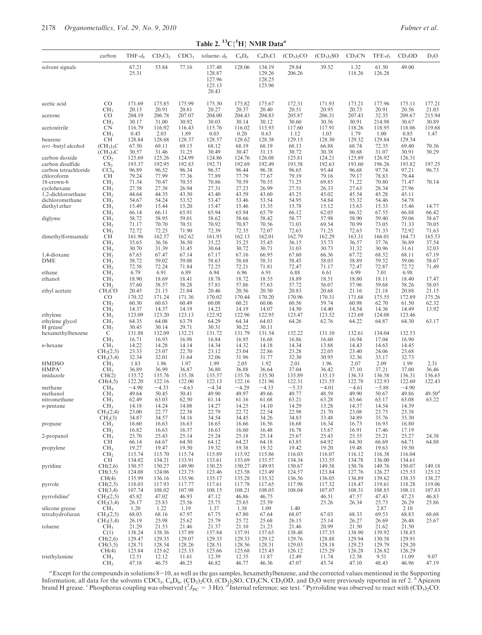| Table 2. ${}^{13}C_1{}^{1}H$ NMR Data <sup>a</sup> |                                                |                  |                  |                   |                                               |                  |                                      |                  |                  |                    |                  |                    |                      |
|----------------------------------------------------|------------------------------------------------|------------------|------------------|-------------------|-----------------------------------------------|------------------|--------------------------------------|------------------|------------------|--------------------|------------------|--------------------|----------------------|
|                                                    | carbon                                         | $THF-d_8$        | $CD_2Cl_2$       | CDCl <sub>3</sub> | toluene- $d_8$                                | $C_6D_6$         | $C_6D_5Cl$                           | $(CD_3)_2CO$     | $(CD_3)_2SO$     | CD <sub>3</sub> CN | $TFE-d_3$        | CD <sub>3</sub> OD | $D_2O$               |
| solvent signals                                    |                                                | 67.21<br>25.31   | 53.84            | 77.16             | 137.48<br>128.87<br>127.96<br>125.13<br>20.43 | 128.06           | 134.19<br>129.26<br>128.25<br>125.96 | 29.84<br>206.26  | 39.52            | 1.32<br>118.26     | 61.50<br>126.28  | 49.00              |                      |
| acetic acid                                        | CO                                             | 171.69           | 175.85           | 175.99            | 175.30                                        | 175.82           | 175.67                               | 172.31           | 171.93           | 173.21             | 177.96           | 175.11             | 177.21               |
| acetone                                            | CH <sub>3</sub><br>CO                          | 20.13<br>204.19  | 20.91<br>206.78  | 20.81<br>207.07   | 20.27<br>204.00                               | 20.37<br>204.43  | 20.40<br>204.83                      | 20.51<br>205.87  | 20.95<br>206.31  | 20.73<br>207.43    | 20.91<br>32.35   | 20.56<br>209.67    | 21.03<br>215.94      |
| acetonitrile                                       | CH <sub>3</sub><br><b>CN</b>                   | 30.17<br>116.79  | 31.00<br>116.92  | 30.92<br>116.43   | 30.03<br>115.76                               | 30.14<br>116.02  | 30.12<br>115.93                      | 30.60<br>117.60  | 30.56<br>117.91  | 30.91<br>118.26    | 214.98<br>118.95 | 30.67<br>118.06    | 30.89<br>119.68      |
|                                                    | CH <sub>3</sub>                                | 0.45             | 2.03             | 1.89              | 0.03                                          | 0.20             | 0.63                                 | 1.12             | 1.03             | 1.79               | 1.00             | 0.85               | 1.47                 |
| benzene<br>tert-butyl alcohol                      | CН<br>$(CH_3)_3C$                              | 128.84<br>67.50  | 128.68<br>69.11  | 128.37<br>69.15   | 128.57<br>68.12                               | 128.62<br>68.19  | 128.38<br>68.19                      | 129.15<br>68.13  | 128.30<br>66.88  | 129.32<br>68.74    | 129.84<br>72.35  | 129.34<br>69.40    | 70.36                |
|                                                    | $(CH_3)_3C$                                    | 30.57            | 31.46            | 31.25             | 30.49                                         | 30.47            | 31.13                                | 30.72            | 30.38            | 30.68              | 31.07            | 30.91              | 30.29                |
| carbon dioxide<br>carbon disulfide                 | CO <sub>2</sub><br>CS <sub>2</sub>             | 125.69<br>193.37 | 125.26<br>192.95 | 124.99<br>192.83  | 124.86<br>192.71                              | 124.76<br>192.69 | 126.08<br>192.49                     | 125.81<br>193.58 | 124.21<br>192.63 | 125.89<br>193.60   | 126.92<br>196.26 | 126.31<br>193.82   | 197.25               |
| carbon tetrachloride<br>chloroform                 | $\text{CCl}_4$<br>СH                           | 96.89<br>79.24   | 96.52<br>77.99   | 96.34<br>77.36    | 96.57<br>77.89                                | 96.44<br>77.79   | 96.38<br>77.67                       | 96.65<br>79.19   | 95.44<br>79.16   | 96.68<br>79.17     | 97.74<br>78.83   | 97.21<br>79.44     | 96.73                |
| 18-crown-6                                         | CH <sub>2</sub>                                | 71.34            | 70.47            | 70.55             | 70.86                                         | 70.59            | 70.55                                | 71.25            | 69.85            | 71.22              | 70.80            | 71.47              | 70.14                |
| cyclohexane<br>1,2-dichloroethane                  | CH <sub>2</sub><br>CH <sub>2</sub>             | 27.58<br>44.64   | 27.38<br>44.35   | 26.94<br>43.50    | 27.31<br>43.40                                | 27.23<br>43.59   | 26.99<br>43.60                       | 27.51<br>45.25   | 26.33<br>45.02   | 27.63<br>45.54     | 28.34<br>45.28   | 27.96<br>45.11     |                      |
| dichloromethane                                    | CH <sub>2</sub>                                | 54.67            | 54.24            | 53.52             | 53.47                                         | 53.46            | 53.54                                | 54.95            | 54.84            | 55.32              | 54.46            | 54.78              |                      |
| diethyl ether                                      | CH <sub>3</sub><br>CH <sub>2</sub>             | 15.49<br>66.14   | 15.44<br>66.11   | 15.20<br>65.91    | 15.47<br>65.94                                | 15.46<br>65.94   | 15.35<br>65.79                       | 15.78<br>66.12   | 15.12<br>62.05   | 15.63<br>66.32     | 15.33<br>67.55   | 15.46<br>66.88     | 14.77<br>66.42       |
| diglyme                                            | CH <sub>3</sub>                                | 58.72            | 58.95            | 59.01             | 58.62                                         | 58.66            | 58.42                                | 58.77            | 57.98            | 58.90              | 59.40            | 59.06              | 58.67                |
|                                                    | CH <sub>2</sub><br>CH <sub>2</sub>             | 71.17<br>72.72   | 70.70<br>72.25   | 70.51<br>71.90    | 70.92<br>72.39                                | 70.87<br>72.35   | 70.56<br>72.07                       | 71.03<br>72.63   | 69.54<br>71.25   | 70.99<br>72.63     | 73.05<br>71.33   | 71.33<br>72.92     | 70.05<br>71.63       |
| dimethylformamide                                  | CН                                             | 161.96           | 162.57           | 162.62            | 161.93                                        | 162.13           | 162.01                               | 162.79           | 162.29           | 163.31             | 166.01           | 164.73             | 165.53               |
|                                                    | CH <sub>3</sub><br>CH <sub>3</sub>             | 35.65<br>30.70   | 36.56<br>31.39   | 36.50<br>31.45    | 35.22<br>30.64                                | 35.25<br>30.72   | 35.45<br>30.71                       | 36.15<br>31.03   | 35.73<br>30.73   | 36.57<br>31.32     | 37.76<br>30.96   | 36.89<br>31.61     | 37.54<br>32.03       |
| 1,4-dioxane<br>DME                                 | CH <sub>2</sub><br>CH <sub>3</sub>             | 67.65<br>58.72   | 67.47<br>59.02   | 67.14<br>59.08    | 67.17<br>58.63                                | 67.16<br>58.68   | 66.95<br>58.31                       | 67.60<br>58.45   | 66.36<br>58.03   | 67.72<br>58.89     | 68.52<br>59.52   | 68.11<br>59.06     | 67.19<br>58.67       |
|                                                    | CH <sub>2</sub>                                | 72.58            | 72.24            | 71.84             | 72.25                                         | 72.21            | 71.81                                | 72.47            | 71.17            | 72.47              | 72.87            | 72.72              | 71.49                |
| ethane<br>ethanol                                  | CH <sub>3</sub><br>CH <sub>3</sub>             | 6.79<br>18.90    | 6.91<br>18.69    | 6.89<br>18.41     | 6.94<br>18.78                                 | 6.96<br>18.72    | 6.91<br>18.55                        | 6.88<br>18.89    | 6.61<br>18.51    | 6.99<br>18.80      | 7.01<br>18.11    | 6.98<br>18.40      | 17.47                |
|                                                    | CH <sub>2</sub>                                | 57.60            | 58.57            | 58.28             | 57.81                                         | 57.86            | 57.63                                | 57.72            | 56.07            | 57.96              | 59.68            | 58.26              | 58.05                |
| ethyl acetate                                      | CH <sub>3</sub> CO<br>CO                       | 20.45<br>170.32  | 21.15<br>171.24  | 21.04<br>171.36   | 20.46<br>170.02                               | 20.56<br>170.44  | 20.50<br>170.20                      | 20.83<br>170.96  | 20.68<br>170.31  | 21.16<br>171.68    | 21.18<br>175.55  | 20.88<br>172.89    | 21.15<br>175.26      |
|                                                    | CH <sub>2</sub>                                | 60.30            | 60.63            | 60.49             | 60.08                                         | 60.21            | 60.06                                | 60.56            | 59.74            | 60.98              | 62.70            | 61.50              | 62.32                |
| ethylene                                           | CH <sub>3</sub><br>CH <sub>2</sub>             | 14.37<br>123.09  | 14.37<br>123.20  | 14.19<br>123.13   | 14.23<br>122.92                               | 14.19<br>122.96  | 14.07<br>122.95                      | 14.50<br>123.47  | 14.40<br>123.52  | 14.54<br>123.69    | 14.36<br>124.08  | 14.49<br>123.46    | 13.92                |
| ethylene glycol                                    | CH <sub>2</sub>                                | 64.35            | 64.08            | 63.79             | 64.29                                         | 64.34            | 64.03                                | 64.26            | 62.76            | 64.22              | 64.87            | 64.30              | 63.17                |
| $H$ grease <sup>b</sup><br>hexamethylbenzene       | CH <sub>2</sub><br>C                           | 30.45<br>131.88  | 30.14<br>132.09  | 29.71<br>132.21   | 30.31<br>131.72                               | 30.22<br>131.79  | 30.11<br>131.54                      | 132.22           | 131.10           | 132.61             | 134.04           | 132.53             |                      |
| $n$ -hexane                                        | CH <sub>3</sub><br>CH <sub>3</sub>             | 16.71<br>14.22   | 16.93<br>14.28   | 16.98<br>14.14    | 16.84<br>14.34                                | 16.95<br>14.32   | 16.68<br>14.18                       | 16.86<br>14.34   | 16.60<br>13.88   | 16.94<br>14.43     | 17.04<br>14.63   | 16.90<br>14.45     |                      |
|                                                    | CH <sub>2</sub> (2,5)                          | 23.33            | 23.07            | 22.70             | 23.12                                         | 23.04            | 22.86                                | 23.28            | 22.05            | 23.40              | 24.06            | 23.68              |                      |
| <b>HMDSO</b>                                       | CH <sub>2</sub> (3,4)<br>CH <sub>3</sub>       | 32.34<br>1.83    | 32.01<br>1.96    | 31.64<br>1.97     | 32.06<br>1.99                                 | 31.96<br>2.05    | 31.77<br>1.92                        | 32.30<br>2.01    | 30.95<br>1.96    | 32.36<br>2.07      | 33.17<br>2.09    | 32.73<br>1.99      | 2.31                 |
| HMPA <sup>c</sup>                                  | CH <sub>3</sub>                                | 36.89            | 36.99            | 36.87             | 36.80                                         | 36.88            | 36.64                                | 37.04            | 36.42            | 37.10              | 37.21            | 37.00              | 36.46                |
| imidazole                                          | CH(2)<br>CH(4,5)                               | 135.72<br>122.20 | 135.76<br>122.16 | 135.38<br>122.00  | 135.57<br>122.13                              | 135.76<br>122.16 | 135.50<br>121.96                     | 135.89<br>122.31 | 135.15<br>121.55 | 136.33<br>122.78   | 136.58<br>122.93 | 136.31<br>122.60   | 136.65<br>122.43     |
| methane                                            | CH <sub>4</sub>                                | $-4.90$          | $-4.33$          | $-4.63$           | $-4.34$                                       | $-4.29$          | $-4.33$                              | $-5.33$          | $-4.01$          | $-4.61$            | $-5.88$          | $-4.90$            |                      |
| methanol<br>nitromethane                           | CH <sub>3</sub><br>CH <sub>3</sub>             | 49.64<br>62.49   | 50.45<br>63.03   | 50.41<br>62.50    | 49.90<br>61.14                                | 49.97<br>61.16   | 49.66<br>61.68                       | 49.77<br>63.21   | 48.59<br>63.28   | 49.90<br>63.66     | 50.67<br>63.17   | 49.86<br>63.08     | $49.50^{d}$<br>63.22 |
| $n$ -pentane                                       | CH <sub>3</sub>                                | 14.18<br>23.00   | 14.24            | 14.08<br>22.38    | 14.27<br>22.79                                | 14.25            | 14.10<br>22.54                       | 14.29<br>22.98   | 13.28<br>21.70   | 14.37<br>23.08     | 14.54<br>23.75   | 14.39<br>23.38     |                      |
|                                                    | CH <sub>2</sub> (2,4)<br>CH <sub>2</sub> (3)   | 34.87            | 22.77<br>34.57   | 34.16             | 34.54                                         | 22.72<br>34.45   | 34.26                                | 34.83            | 33.48            | 34.89              | 35.76            | 35.30              |                      |
| propane                                            | CH <sub>3</sub><br>CH <sub>2</sub>             | 16.60<br>16.82   | 16.63<br>16.63   | 16.63<br>16.37    | 16.65<br>16.63                                | 16.66<br>16.60   | 16.56<br>16.48                       | 16.68<br>16.78   | 16.34<br>15.67   | 16.73<br>16.91     | 16.93<br>17.46   | 16.80<br>17.19     |                      |
| 2-propanol                                         | CH <sub>3</sub>                                | 25.70            | 25.43            | 25.14             | 25.24                                         | 25.18            | 25.14                                | 25.67            | 25.43            | 25.55              | 25.21            | 25.27              | 24.38                |
| propylene                                          | CН<br>CH <sub>3</sub>                          | 66.14<br>19.27   | 64.67<br>19.47   | 64.50<br>19.50    | 64.12<br>19.32                                | 64.23<br>19.38   | 64.18<br>19.32                       | 63.85<br>19.42   | 64.92<br>19.20   | 64.30<br>19.48     | 66.69<br>19.63   | 64.71<br>19.50     | 64.88                |
|                                                    | CH <sub>2</sub>                                | 115.74           | 115.70           | 115.74            | 115.89                                        | 115.92           | 115.86                               | 116.03           | 116.07           | 116.12             | 116.38           | 116.04             |                      |
| pyridine                                           | СH<br>CH(2,6)                                  | 134.02<br>150.57 | 134.21<br>150.27 | 133.91<br>149.90  | 133.61<br>150.25                              | 133.69<br>150.27 | 133.57<br>149.93                     | 134.34<br>150.67 | 133.55<br>149.58 | 134.78<br>150.76   | 136.00<br>149.76 | 134.61<br>150.07   | 149.18               |
|                                                    | CH(3,5)                                        | 124.08           | 124.06           | 123.75            | 123.46                                        | 123.58           | 123.49                               | 124.57           | 123.84           | 127.76             | 126.27           | 125.53             | 125.12               |
| pyrrole                                            | CH(4)<br>CH(2,5)                               | 135.99<br>118.03 | 136.16<br>117.93 | 135.96<br>117.77  | 135.17<br>117.61                              | 135.28<br>117.78 | 135.32<br>117.65                     | 136.56<br>117.98 | 136.05<br>117.32 | 136.89<br>118.47   | 139.62<br>119.61 | 138.35<br>118.28   | 138.27<br>119.06     |
|                                                    | CH(3,4)                                        | 107.74           | 108.02<br>47.02  | 107.98<br>46.93   | 108.15<br>47.12                               | 108.21<br>46.86  | 108.03<br>46.75                      | 108.04           | 107.07           | 108.31             | 108.85<br>47.43  | 108.11<br>47.23    | 107.83<br>46.83      |
| pyrrolidine <sup>e</sup>                           | CH <sub>2</sub> (2,5)<br>CH <sub>2</sub> (3,4) | 45.82<br>26.17   | 25.83            | 25.56             | 25.75                                         | 25.65            | 25.59                                |                  | 46.51<br>25.26   | 47.57<br>26.34     | 25.73            | 26.29              | 25.86                |
| silicone grease<br>tetrahydrofuran                 | CH <sub>3</sub><br>CH <sub>2</sub> (2,5)       | 1.20<br>68.03    | 1.22<br>68.16    | 1.19<br>67.97     | 1.37<br>67.75                                 | 1.38<br>67.80    | 1.09<br>67.64                        | 1.40<br>68.07    | 67.03            | 68.33              | 2.87<br>69.53    | 2.10<br>68.83      | 68.68                |
|                                                    | CH <sub>2</sub> (3,4)                          | 26.19            | 25.98            | 25.62             | 25.79                                         | 25.72            | 25.68                                | 26.15            | 25.14            | 26.27              | 26.69            | 26.48              | 25.67                |
| toluene                                            | CH <sub>3</sub><br>C(1)                        | 21.29<br>138.24  | 21.53<br>138.36  | 21.46<br>137.89   | 21.37<br>137.84                               | 21.10<br>137.91  | 21.23<br>137.65                      | 21.46<br>138.48  | 20.99<br>137.35  | 21.50<br>138.90    | 21.62<br>139.92  | 21.50<br>138.85    |                      |
|                                                    | CH(2,6)                                        | 129.47           | 129.35           | 129.07            | 129.33                                        | 129.33           | 129.12                               | 129.76           | 128.88           | 129.94             | 130.58           | 129.91             |                      |
|                                                    | CH(3,5)<br>CH(4)                               | 128.71<br>125.84 | 128.54<br>125.62 | 128.26<br>125.33  | 128.51<br>125.66                              | 128.56<br>125.68 | 128.31<br>125.43                     | 129.03<br>126.12 | 128.18<br>125.29 | 129.23<br>126.28   | 129.79<br>126.82 | 129.20<br>126.29   |                      |
| triethylamine                                      | CH <sub>3</sub>                                | 12.51            | 12.12            | 11.61             | 12.39                                         | 12.35            | 11.87                                | 12.49            | 11.74            | 12.38              | 9.51             | 11.09              | 9.07<br>47.19        |
|                                                    | CH <sub>2</sub>                                | 47.18            | 46.75            | 46.25             | 46.82                                         | 46.77            | 46.36                                | 47.07            | 45.74            | 47.10              | 48.45            | 46.96              |                      |

 $a$ Except for the compounds in solutions  $8-10$ , as well as the gas samples, hexamethylbenzene, and the corrected values mentioned in the Supporting Information, all data for the solvents CDCl<sub>3</sub>, C<sub>6</sub>D<sub>6</sub>, (CD<sub>3</sub>)<sub>2</sub>CO, (CD<sub>3</sub>)<sub>2</sub>SO, CD<sub>3</sub>CN, CD<sub>3</sub>OD, and D<sub>2</sub>O were previously reported in ref 2. <sup>b</sup>Apiezon brand H grease. CPhosphorus coupling was observed  $(^2J_{PC} = 3 \text{ Hz})$ . Thernal reference; see text. CPyrrolidine was observed to react with  $(CD_3)_2$ CO.